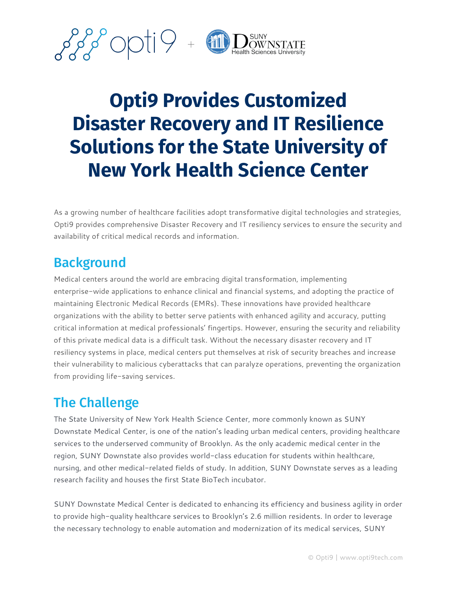

# **Opti9 Provides Customized Disaster Recovery and IT Resilience Solutions for the State University of New York Health Science Center**

As a growing number of healthcare facilities adopt transformative digital technologies and strategies, Opti9 provides comprehensive Disaster Recovery and IT resiliency services to ensure the security and availability of critical medical records and information.

### **Background**

Medical centers around the world are embracing digital transformation, implementing enterprise-wide applications to enhance clinical and financial systems, and adopting the practice of maintaining Electronic Medical Records (EMRs). These innovations have provided healthcare organizations with the ability to better serve patients with enhanced agility and accuracy, putting critical information at medical professionals' fingertips. However, ensuring the security and reliability of this private medical data is a difficult task. Without the necessary disaster recovery and IT resiliency systems in place, medical centers put themselves at risk of security breaches and increase their vulnerability to malicious cyberattacks that can paralyze operations, preventing the organization from providing life-saving services.

## The Challenge

The State University of New York Health Science Center, more commonly known as SUNY Downstate Medical Center, is one of the nation's leading urban medical centers, providing healthcare services to the underserved community of Brooklyn. As the only academic medical center in the region, SUNY Downstate also provides world-class education for students within healthcare, nursing, and other medical-related fields of study. In addition, SUNY Downstate serves as a leading research facility and houses the first State BioTech incubator.

SUNY Downstate Medical Center is dedicated to enhancing its efficiency and business agility in order to provide high-quality healthcare services to Brooklyn's 2.6 million residents. In order to leverage the necessary technology to enable automation and modernization of its medical services, SUNY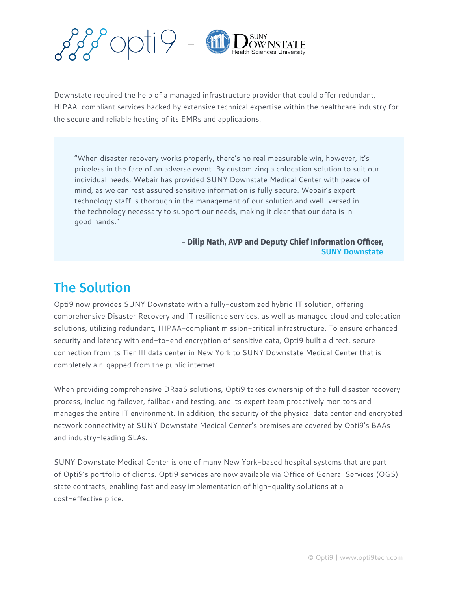

Downstate required the help of a managed infrastructure provider that could offer redundant, HIPAA-compliant services backed by extensive technical expertise within the healthcare industry for the secure and reliable hosting of its EMRs and applications.

"When disaster recovery works properly, there's no real measurable win, however, it's priceless in the face of an adverse event. By customizing a colocation solution to suit our individual needs, Webair has provided SUNY Downstate Medical Center with peace of mind, as we can rest assured sensitive information is fully secure. Webair's expert technology staff is thorough in the management of our solution and well-versed in the technology necessary to support our needs, making it clear that our data is in good hands."

#### **- Dilip Nath, AVP and Deputy Chief Information Officer,** SUNY Downstate

### The Solution

Opti9 now provides SUNY Downstate with a fully-customized hybrid IT solution, offering comprehensive Disaster Recovery and IT resilience services, as well as managed cloud and colocation solutions, utilizing redundant, HIPAA-compliant mission-critical infrastructure. To ensure enhanced security and latency with end-to-end encryption of sensitive data, Opti9 built a direct, secure connection from its Tier III data center in New York to SUNY Downstate Medical Center that is completely air-gapped from the public internet.

When providing comprehensive DRaaS solutions, Opti9 takes ownership of the full disaster recovery process, including failover, failback and testing, and its expert team proactively monitors and manages the entire IT environment. In addition, the security of the physical data center and encrypted network connectivity at SUNY Downstate Medical Center's premises are covered by Opti9's BAAs and industry-leading SLAs.

SUNY Downstate Medical Center is one of many New York-based hospital systems that are part of Opti9's portfolio of clients. Opti9 services are now available via Office of General Services (OGS) state contracts, enabling fast and easy implementation of high-quality solutions at a cost-effective price.